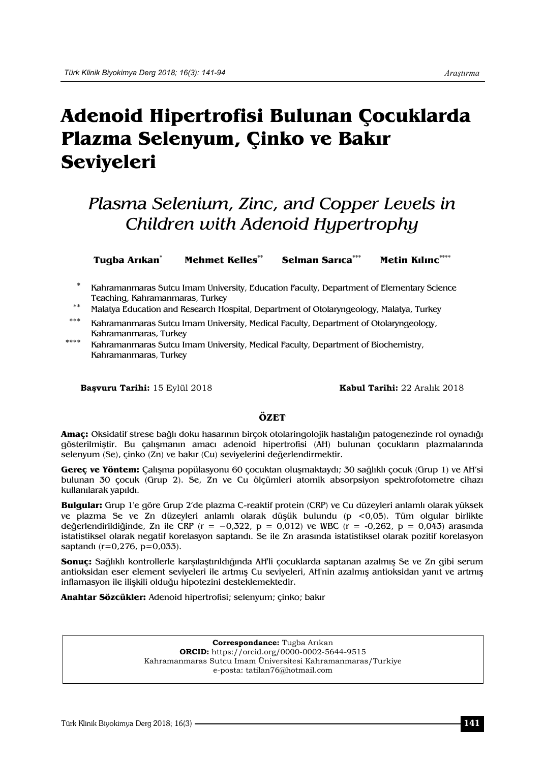# **Adenoid Hipertrofisi Bulunan Çocuklarda Plazma Selenyum, Çinko ve Bakır Seviyeleri**

## *Plasma Selenium, Zinc, and Copper Levels in Children with Adenoid Hypertrophy*

**Tugba Arıkan\* Mehmet Kelles\*\* Selman Sarıca\*\*\* Metin Kılınc\*\*\*\***

Kahramanmaras Sutcu Imam University, Education Faculty, Department of Elementary Science Teaching, Kahramanmaras, Turkey

\*\* Malatya Education and Research Hospital, Department of Otolaryngeology, Malatya, Turkey

- Kahramanmaras Sutcu Imam University, Medical Faculty, Department of Otolaryngeology, Kahramanmaras, Turkey
- \*\*\*\* Kahramanmaras Sutcu Imam University, Medical Faculty, Department of Biochemistry, Kahramanmaras, Turkey

**Başvuru Tarihi:** 15 Eylül 2018 **Kabul Tarihi:** 22 Aralık 2018

#### **ÖZET**

**Amaç:** Oksidatif strese bağlı doku hasarının birçok otolaringolojik hastalığın patogenezinde rol oynadığı gösterilmiştir. Bu çalışmanın amacı adenoid hipertrofisi (AH) bulunan çocukların plazmalarında selenyum (Se), çinko (Zn) ve bakır (Cu) seviyelerini değerlendirmektir.

**Gereç ve Yöntem:** Çalışma popülasyonu 60 çocuktan oluşmaktaydı; 30 sağlıklı çocuk (Grup 1) ve AH'si bulunan 30 çocuk (Grup 2). Se, Zn ve Cu ölçümleri atomik absorpsiyon spektrofotometre cihazı kullanılarak yapıldı.

**Bulgular:** Grup 1'e göre Grup 2'de plazma C-reaktif protein (CRP) ve Cu düzeyleri anlamlı olarak yüksek ve plazma Se ve Zn düzeyleri anlamlı olarak düşük bulundu (p <0,05). Tüm olgular birlikte değerlendirildiğinde, Zn ile CRP (r =  $-0.322$ , p = 0,012) ve WBC (r =  $-0.262$ , p = 0,043) arasında istatistiksel olarak negatif korelasyon saptandı. Se ile Zn arasında istatistiksel olarak pozitif korelasyon saptandı (r=0,276, p=0,033).

**Sonuç:** Sağlıklı kontrollerle karşılaştırıldığında AH'li çocuklarda saptanan azalmış Se ve Zn gibi serum antioksidan eser element seviyeleri ile artmış Cu seviyeleri, AH'nin azalmış antioksidan yanıt ve artmış inflamasyon ile ilişkili olduğu hipotezini desteklemektedir.

**Anahtar Sözcükler:** Adenoid hipertrofisi; selenyum; çinko; bakır

**Correspondance:** Tugba Arıkan **ORCID:** https://orcid.org/0000-0002-5644-9515 Kahramanmaras Sutcu Imam Üniversitesi Kahramanmaras/Turkiye e-posta: tatilan76@hotmail.com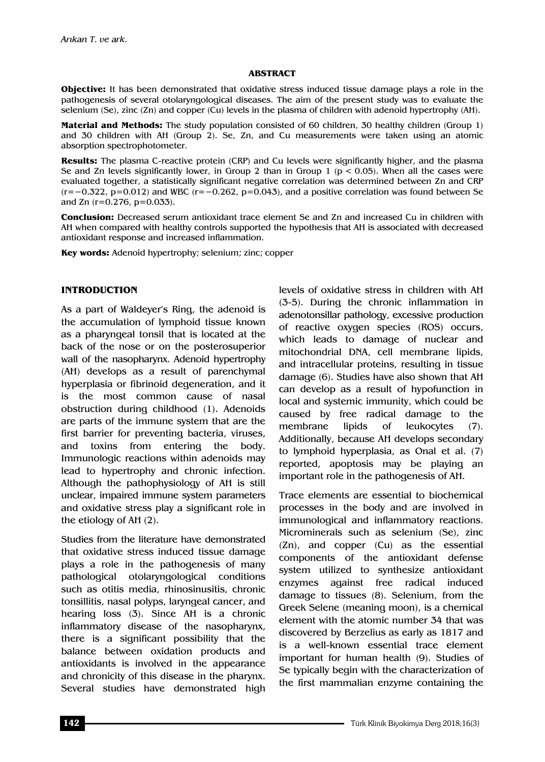#### **ABSTRACT**

**Objective:** It has been demonstrated that oxidative stress induced tissue damage plays a role in the pathogenesis of several otolaryngological diseases. The aim of the present study was to evaluate the selenium (Se), zinc (Zn) and copper (Cu) levels in the plasma of children with adenoid hypertrophy (AH).

**Material and Methods:** The study population consisted of 60 children, 30 healthy children (Group 1) and 30 children with AH (Group 2). Se, Zn, and Cu measurements were taken using an atomic absorption spectrophotometer.

**Results:** The plasma C-reactive protein (CRP) and Cu levels were significantly higher, and the plasma Se and Zn levels significantly lower, in Group 2 than in Group  $1$  ( $p < 0.05$ ). When all the cases were evaluated together, a statistically significant negative correlation was determined between Zn and CRP  $(r=-0.322, p=0.012)$  and WBC  $(r=-0.262, p=0.043)$ , and a positive correlation was found between Se and Zn  $(r=0.276, p=0.033)$ .

**Conclusion:** Decreased serum antioxidant trace element Se and Zn and increased Cu in children with AH when compared with healthy controls supported the hypothesis that AH is associated with decreased antioxidant response and increased inflammation.

**Key words:** Adenoid hypertrophy; selenium; zinc; copper

#### **INTRODUCTION**

As a part of Waldeyer's Ring, the adenoid is the accumulation of lymphoid tissue known as a pharyngeal tonsil that is located at the back of the nose or on the posterosuperior wall of the nasopharynx. Adenoid hypertrophy (AH) develops as a result of parenchymal hyperplasia or fibrinoid degeneration, and it is the most common cause of nasal obstruction during childhood (1). Adenoids are parts of the immune system that are the first barrier for preventing bacteria, viruses, and toxins from entering the body. Immunologic reactions within adenoids may lead to hypertrophy and chronic infection. Although the pathophysiology of AH is still unclear, impaired immune system parameters and oxidative stress play a significant role in the etiology of AH (2).

Studies from the literature have demonstrated that oxidative stress induced tissue damage plays a role in the pathogenesis of many pathological otolaryngological conditions such as otitis media, rhinosinusitis, chronic tonsillitis, nasal polyps, laryngeal cancer, and hearing loss (3). Since AH is a chronic inflammatory disease of the nasopharynx, there is a significant possibility that the balance between oxidation products and antioxidants is involved in the appearance and chronicity of this disease in the pharynx. Several studies have demonstrated high levels of oxidative stress in children with AH (3-5). During the chronic inflammation in adenotonsillar pathology, excessive production of reactive oxygen species (ROS) occurs, which leads to damage of nuclear and mitochondrial DNA, cell membrane lipids, and intracellular proteins, resulting in tissue damage (6). Studies have also shown that AH can develop as a result of hypofunction in local and systemic immunity, which could be caused by free radical damage to the membrane lipids of leukocytes (7). Additionally, because AH develops secondary to lymphoid hyperplasia, as Onal et al. (7) reported, apoptosis may be playing an important role in the pathogenesis of AH.

Trace elements are essential to biochemical processes in the body and are involved in immunological and inflammatory reactions. Microminerals such as selenium (Se), zinc (Zn), and copper (Cu) as the essential components of the antioxidant defense system utilized to synthesize antioxidant enzymes against free radical induced damage to tissues (8). Selenium, from the Greek Selene (meaning moon), is a chemical element with the atomic number 34 that was discovered by Berzelius as early as 1817 and is a well-known essential trace element important for human health (9). Studies of Se typically begin with the characterization of the first mammalian enzyme containing the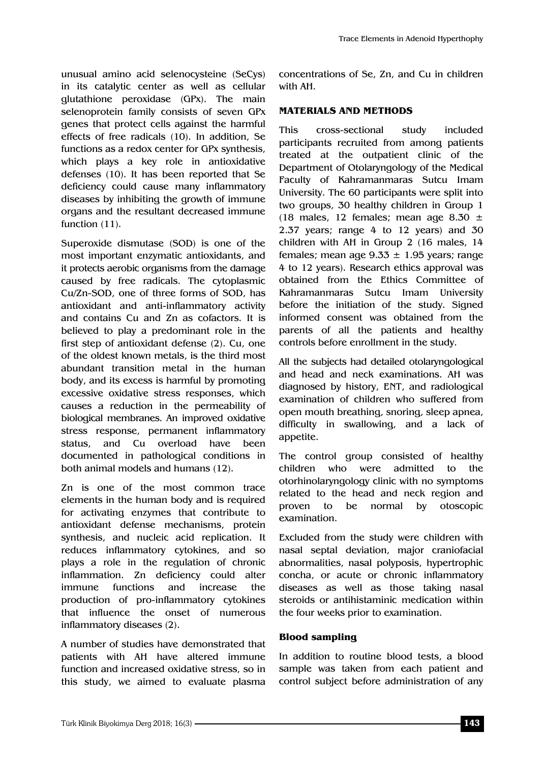unusual amino acid selenocysteine (SeCys) in its catalytic center as well as cellular glutathione peroxidase (GPx). The main selenoprotein family consists of seven GPx genes that protect cells against the harmful effects of free radicals (10). In addition, Se functions as a redox center for GPx synthesis, which plays a key role in antioxidative defenses (10). It has been reported that Se deficiency could cause many inflammatory diseases by inhibiting the growth of immune organs and the resultant decreased immune function (11).

Superoxide dismutase (SOD) is one of the most important enzymatic antioxidants, and it protects aerobic organisms from the damage caused by free radicals. The cytoplasmic Cu/Zn-SOD, one of three forms of SOD, has antioxidant and anti-inflammatory activity and contains Cu and Zn as cofactors. It is believed to play a predominant role in the first step of antioxidant defense (2). Cu, one of the oldest known metals, is the third most abundant transition metal in the human body, and its excess is harmful by promoting excessive oxidative stress responses, which causes a reduction in the permeability of biological membranes. An improved oxidative stress response, permanent inflammatory status, and Cu overload have been documented in pathological conditions in both animal models and humans (12).

Zn is one of the most common trace elements in the human body and is required for activating enzymes that contribute to antioxidant defense mechanisms, protein synthesis, and nucleic acid replication. It reduces inflammatory cytokines, and so plays a role in the regulation of chronic inflammation. Zn deficiency could alter immune functions and increase the production of pro-inflammatory cytokines that influence the onset of numerous inflammatory diseases (2).

A number of studies have demonstrated that patients with AH have altered immune function and increased oxidative stress, so in this study, we aimed to evaluate plasma

concentrations of Se, Zn, and Cu in children with AH.

## **MATERIALS AND METHODS**

This cross-sectional study included participants recruited from among patients treated at the outpatient clinic of the Department of Otolaryngology of the Medical Faculty of Kahramanmaras Sutcu Imam University. The 60 participants were split into two groups, 30 healthy children in Group 1 (18 males, 12 females; mean age 8.30  $\pm$ 2.37 years; range 4 to 12 years) and 30 children with AH in Group 2 (16 males, 14 females; mean age  $9.33 \pm 1.95$  years; range 4 to 12 years). Research ethics approval was obtained from the Ethics Committee of Kahramanmaras Sutcu Imam University before the initiation of the study. Signed informed consent was obtained from the parents of all the patients and healthy controls before enrollment in the study.

All the subjects had detailed otolaryngological and head and neck examinations. AH was diagnosed by history, ENT, and radiological examination of children who suffered from open mouth breathing, snoring, sleep apnea, difficulty in swallowing, and a lack of appetite.

The control group consisted of healthy children who were admitted to the otorhinolaryngology clinic with no symptoms related to the head and neck region and proven to be normal by otoscopic examination.

Excluded from the study were children with nasal septal deviation, major craniofacial abnormalities, nasal polyposis, hypertrophic concha, or acute or chronic inflammatory diseases as well as those taking nasal steroids or antihistaminic medication within the four weeks prior to examination.

### **Blood sampling**

In addition to routine blood tests, a blood sample was taken from each patient and control subject before administration of any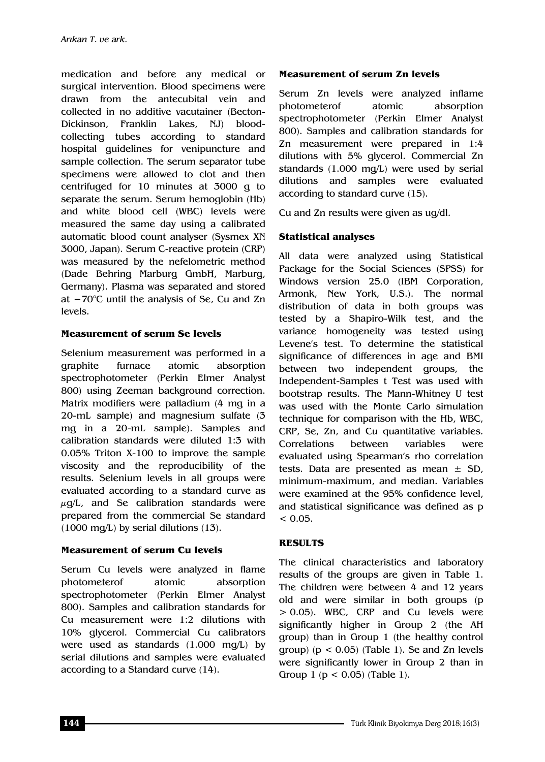medication and before any medical or surgical intervention. Blood specimens were drawn from the antecubital vein and collected in no additive vacutainer (Becton-Dickinson, Franklin Lakes, NJ) bloodcollecting tubes according to standard hospital guidelines for venipuncture and sample collection. The serum separator tube specimens were allowed to clot and then centrifuged for 10 minutes at 3000 g to separate the serum. Serum hemoglobin (Hb) and white blood cell (WBC) levels were measured the same day using a calibrated automatic blood count analyser (Sysmex XN 3000, Japan). Serum C-reactive protein (CRP) was measured by the nefelometric method (Dade Behring Marburg GmbH, Marburg, Germany). Plasma was separated and stored at −70°C until the analysis of Se, Cu and Zn levels.

#### **Measurement of serum Se levels**

Selenium measurement was performed in a graphite furnace atomic absorption spectrophotometer (Perkin Elmer Analyst 800) using Zeeman background correction. Matrix modifiers were palladium (4 mg in a 20-mL sample) and magnesium sulfate (3 mg in a 20-mL sample). Samples and calibration standards were diluted 1:3 with 0.05% Triton X-100 to improve the sample viscosity and the reproducibility of the results. Selenium levels in all groups were evaluated according to a standard curve as  $\mu$ g/L, and Se calibration standards were prepared from the commercial Se standard (1000 mg/L) by serial dilutions (13).

#### **Measurement of serum Cu levels**

Serum Cu levels were analyzed in flame photometerof atomic absorption spectrophotometer (Perkin Elmer Analyst 800). Samples and calibration standards for Cu measurement were 1:2 dilutions with 10% glycerol. Commercial Cu calibrators were used as standards (1.000 mg/L) by serial dilutions and samples were evaluated according to a Standard curve (14).

#### **Measurement of serum Zn levels**

Serum Zn levels were analyzed inflame photometerof atomic absorption spectrophotometer (Perkin Elmer Analyst 800). Samples and calibration standards for Zn measurement were prepared in 1:4 dilutions with 5% glycerol. Commercial Zn standards (1.000 mg/L) were used by serial dilutions and samples were evaluated according to standard curve (15).

Cu and Zn results were given as ug/dl.

### **Statistical analyses**

All data were analyzed using Statistical Package for the Social Sciences (SPSS) for Windows version 25.0 (IBM Corporation, Armonk, New York, U.S.). The normal distribution of data in both groups was tested by a Shapiro-Wilk test, and the variance homogeneity was tested using Levene's test. To determine the statistical significance of differences in age and BMI between two independent groups, the Independent-Samples t Test was used with bootstrap results. The Mann-Whitney U test was used with the Monte Carlo simulation technique for comparison with the Hb, WBC, CRP, Se, Zn, and Cu quantitative variables. Correlations between variables were evaluated using Spearman's rho correlation tests. Data are presented as mean  $\pm$  SD, minimum-maximum, and median. Variables were examined at the 95% confidence level, and statistical significance was defined as p  $< 0.05$ .

#### **RESULTS**

The clinical characteristics and laboratory results of the groups are given in Table 1. The children were between 4 and 12 years old and were similar in both groups (p > 0.05). WBC, CRP and Cu levels were significantly higher in Group 2 (the AH group) than in Group 1 (the healthy control group) ( $p < 0.05$ ) (Table 1). Se and Zn levels were significantly lower in Group 2 than in Group 1 ( $p < 0.05$ ) (Table 1).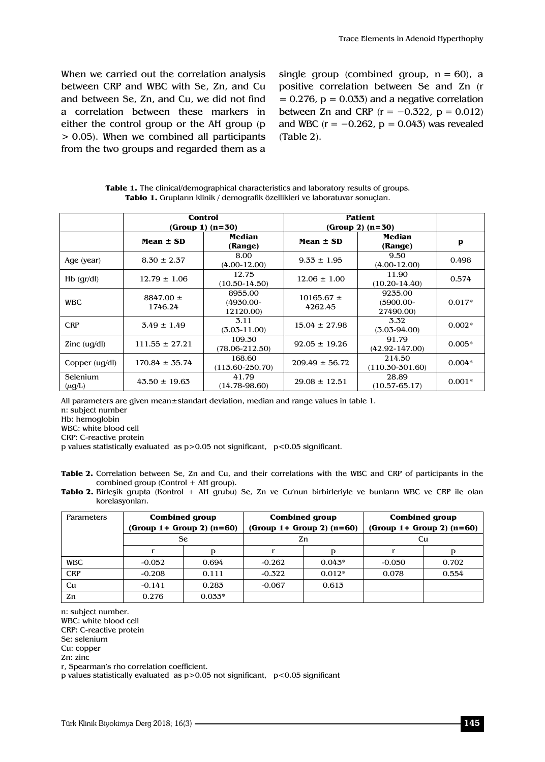When we carried out the correlation analysis between CRP and WBC with Se, Zn, and Cu and between Se, Zn, and Cu, we did not find a correlation between these markers in either the control group or the AH group (p > 0.05). When we combined all participants from the two groups and regarded them as a

single group (combined group,  $n = 60$ ), a positive correlation between Se and Zn (r  $= 0.276$ ,  $p = 0.033$ ) and a negative correlation between Zn and CRP ( $r = -0.322$ ,  $p = 0.012$ ) and WBC ( $r = -0.262$ ,  $p = 0.043$ ) was revealed (Table 2).

| <b>Table 1.</b> The clinical/demographical characteristics and laboratory results of groups. |
|----------------------------------------------------------------------------------------------|
| <b>Tablo 1.</b> Grupların klinik / demografik özellikleri ve laboratuvar sonuçları.          |

|                                   |                          | Control<br>$(Group 1) (n=30)$       | <b>Patient</b><br>$(Group 2) (n=30)$ |                                     |          |
|-----------------------------------|--------------------------|-------------------------------------|--------------------------------------|-------------------------------------|----------|
|                                   | Mean $\pm$ SD            | Median<br>(Range)                   | Mean $\pm$ SD                        | Median<br>(Range)                   | P        |
| Age (year)                        | $8.30 \pm 2.37$          | 8.00<br>$(4.00 - 12.00)$            | $9.33 \pm 1.95$                      | 9.50<br>$(4.00-12.00)$              | 0.498    |
| $Hb$ (gr/dl)                      | $12.79 \pm 1.06$         | 12.75<br>$(10.50 - 14.50)$          | $12.06 \pm 1.00$                     | 11.90<br>$(10.20 - 14.40)$          | 0.574    |
| <b>WBC</b>                        | $8847.00 \pm$<br>1746.24 | 8955.00<br>$(4930.00 -$<br>12120.00 | $10165.67 \pm$<br>4262.45            | 9235.00<br>$(5900.00 -$<br>27490.00 | $0.017*$ |
| <b>CRP</b>                        | $3.49 \pm 1.49$          | 3.11<br>$(3.03 - 11.00)$            | $15.04 \pm 27.98$                    | 3.32<br>$(3.03 - 94.00)$            | $0.002*$ |
| $\text{Zinc}$ (ug/dl)             | $111.55 \pm 27.21$       | 109.30<br>$(78.06 - 212.50)$        | $92.05 \pm 19.26$                    | 91.79<br>$(42.92 - 147.00)$         | $0.005*$ |
| Copper $\left(\frac{u}{d}\right)$ | $170.84 \pm 35.74$       | 168.60<br>$(113.60 - 250.70)$       | $209.49 \pm 56.72$                   | 214.50<br>$(110.30 - 301.60)$       | $0.004*$ |
| Selenium<br>$(\mu q/L)$           | $43.50 \pm 19.63$        | 41.79<br>$(14.78 - 98.60)$          | $29.08 \pm 12.51$                    | 28.89<br>$(10.57 - 65.17)$          | $0.001*$ |

All parameters are given mean±standart deviation, median and range values in table 1.

n: subject number

Hb: hemoglobin

WBC: white blood cell

CRP: C-reactive protein

p values statistically evaluated as p>0.05 not significant, p<0.05 significant.

- **Table 2.** Correlation between Se, Zn and Cu, and their correlations with the WBC and CRP of participants in the combined group (Control + AH group).
- **Tablo 2.** Birleşik grupta (Kontrol + AH grubu) Se, Zn ve Cu'nun birbirleriyle ve bunların WBC ve CRP ile olan korelasyonları.

| Parameters | <b>Combined group</b><br>$(Group 1+ Group 2)$ $(n=60)$ |          | <b>Combined group</b><br>$(Group 1+ Group 2)$ $(n=60)$ |          | <b>Combined group</b><br>$(Group 1+ Group 2) (n=60)$ |       |
|------------|--------------------------------------------------------|----------|--------------------------------------------------------|----------|------------------------------------------------------|-------|
|            | <b>Se</b>                                              |          | Zn                                                     |          | Cu                                                   |       |
|            |                                                        | D        |                                                        |          |                                                      |       |
| <b>WBC</b> | $-0.052$                                               | 0.694    | $-0.262$                                               | $0.043*$ | $-0.050$                                             | 0.702 |
| <b>CRP</b> | $-0.208$                                               | 0.111    | $-0.322$                                               | $0.012*$ | 0.078                                                | 0.554 |
| Cu         | $-0.141$                                               | 0.283    | $-0.067$                                               | 0.613    |                                                      |       |
| Zn         | 0.276                                                  | $0.033*$ |                                                        |          |                                                      |       |

n: subject number.

WBC: white blood cell

CRP: C-reactive protein

Se: selenium

Cu: copper

Zn: zinc

r, Spearman's rho correlation coefficient.

p values statistically evaluated as  $p > 0.05$  not significant,  $p < 0.05$  significant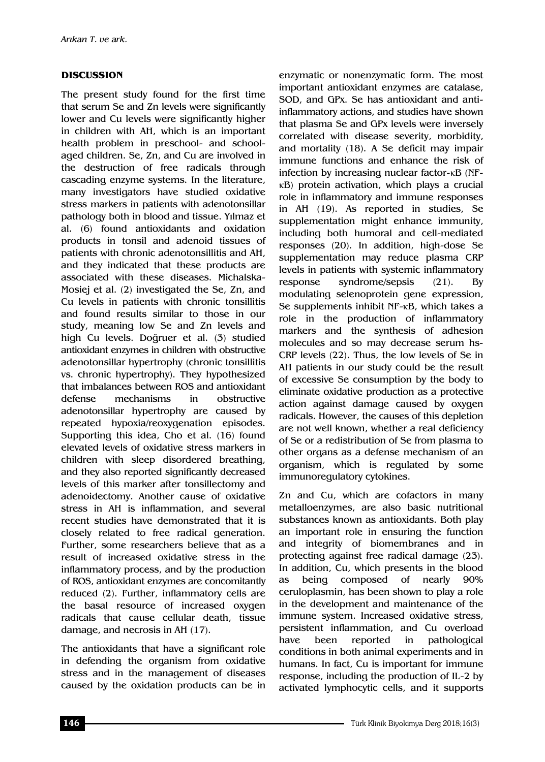#### **DISCUSSION**

The present study found for the first time that serum Se and Zn levels were significantly lower and Cu levels were significantly higher in children with AH, which is an important health problem in preschool- and schoolaged children. Se, Zn, and Cu are involved in the destruction of free radicals through cascading enzyme systems. In the literature, many investigators have studied oxidative stress markers in patients with adenotonsillar pathology both in blood and tissue. Yılmaz et al. (6) found antioxidants and oxidation products in tonsil and adenoid tissues of patients with chronic adenotonsillitis and AH, and they indicated that these products are associated with these diseases. Michalska-Mosiej et al. (2) investigated the Se, Zn, and Cu levels in patients with chronic tonsillitis and found results similar to those in our study, meaning low Se and Zn levels and high Cu levels. Doğruer et al. (3) studied antioxidant enzymes in children with obstructive adenotonsillar hypertrophy (chronic tonsillitis vs. chronic hypertrophy). They hypothesized that imbalances between ROS and antioxidant defense mechanisms in obstructive adenotonsillar hypertrophy are caused by repeated hypoxia/reoxygenation episodes. Supporting this idea, Cho et al. (16) found elevated levels of oxidative stress markers in children with sleep disordered breathing, and they also reported significantly decreased levels of this marker after tonsillectomy and adenoidectomy. Another cause of oxidative stress in AH is inflammation, and several recent studies have demonstrated that it is closely related to free radical generation. Further, some researchers believe that as a result of increased oxidative stress in the inflammatory process, and by the production of ROS, antioxidant enzymes are concomitantly reduced (2). Further, inflammatory cells are the basal resource of increased oxygen radicals that cause cellular death, tissue damage, and necrosis in AH (17).

The antioxidants that have a significant role in defending the organism from oxidative stress and in the management of diseases caused by the oxidation products can be in

enzymatic or nonenzymatic form. The most important antioxidant enzymes are catalase, SOD, and GPx. Se has antioxidant and antiinflammatory actions, and studies have shown that plasma Se and GPx levels were inversely correlated with disease severity, morbidity, and mortality (18). A Se deficit may impair immune functions and enhance the risk of infection by increasing nuclear factor-κB (NFκB) protein activation, which plays a crucial role in inflammatory and immune responses in AH (19). As reported in studies, Se supplementation might enhance immunity, including both humoral and cell-mediated responses (20). In addition, high-dose Se supplementation may reduce plasma CRP levels in patients with systemic inflammatory response syndrome/sepsis (21). By modulating selenoprotein gene expression, Se supplements inhibit NF-κB, which takes a role in the production of inflammatory markers and the synthesis of adhesion molecules and so may decrease serum hs-CRP levels (22). Thus, the low levels of Se in AH patients in our study could be the result of excessive Se consumption by the body to eliminate oxidative production as a protective action against damage caused by oxygen radicals. However, the causes of this depletion are not well known, whether a real deficiency of Se or a redistribution of Se from plasma to other organs as a defense mechanism of an organism, which is regulated by some immunoregulatory cytokines.

Zn and Cu, which are cofactors in many metalloenzymes, are also basic nutritional substances known as antioxidants. Both play an important role in ensuring the function and integrity of biomembranes and in protecting against free radical damage (23). In addition, Cu, which presents in the blood as being composed of nearly 90% ceruloplasmin, has been shown to play a role in the development and maintenance of the immune system. Increased oxidative stress, persistent inflammation, and Cu overload have been reported in pathological conditions in both animal experiments and in humans. In fact, Cu is important for immune response, including the production of IL-2 by activated lymphocytic cells, and it supports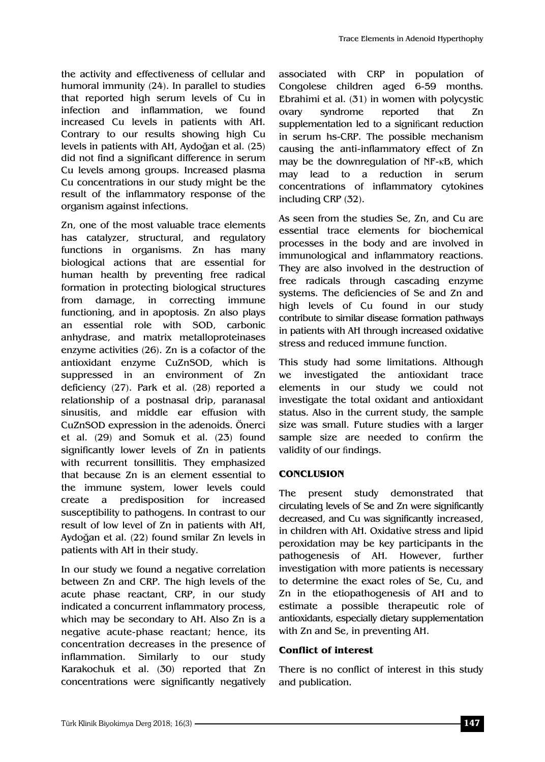the activity and effectiveness of cellular and humoral immunity (24). In parallel to studies that reported high serum levels of Cu in infection and inflammation, we found increased Cu levels in patients with AH. Contrary to our results showing high Cu levels in patients with AH, Aydoğan et al. (25) did not find a significant difference in serum Cu levels among groups. Increased plasma Cu concentrations in our study might be the result of the inflammatory response of the organism against infections.

Zn, one of the most valuable trace elements has catalyzer, structural, and regulatory functions in organisms. Zn has many biological actions that are essential for human health by preventing free radical formation in protecting biological structures from damage, in correcting immune functioning, and in apoptosis. Zn also plays an essential role with SOD, carbonic anhydrase, and matrix metalloproteinases enzyme activities (26). Zn is a cofactor of the antioxidant enzyme CuZnSOD, which is suppressed in an environment of Zn deficiency (27). Park et al. (28) reported a relationship of a postnasal drip, paranasal sinusitis, and middle ear effusion with CuZnSOD expression in the adenoids. Önerci et al. (29) and Somuk et al. (23) found significantly lower levels of Zn in patients with recurrent tonsillitis. They emphasized that because Zn is an element essential to the immune system, lower levels could create a predisposition for increased susceptibility to pathogens. In contrast to our result of low level of Zn in patients with AH, Aydoğan et al. (22) found smilar Zn levels in patients with AH in their study.

In our study we found a negative correlation between Zn and CRP. The high levels of the acute phase reactant, CRP, in our study indicated a concurrent inflammatory process, which may be secondary to AH. Also Zn is a negative acute-phase reactant; hence, its concentration decreases in the presence of inflammation. Similarly to our study Karakochuk et al. (30) reported that Zn concentrations were significantly negatively associated with CRP in population of Congolese children aged 6-59 months. Ebrahimi et al. (31) in women with polycystic ovary syndrome reported that Zn supplementation led to a significant reduction in serum hs-CRP. The possible mechanism causing the anti-inflammatory effect of Zn may be the downregulation of NF-κB, which may lead to a reduction in serum concentrations of inflammatory cytokines including CRP (32).

As seen from the studies Se, Zn, and Cu are essential trace elements for biochemical processes in the body and are involved in immunological and inflammatory reactions. They are also involved in the destruction of free radicals through cascading enzyme systems. The deficiencies of Se and Zn and high levels of Cu found in our study contribute to similar disease formation pathways in patients with AH through increased oxidative stress and reduced immune function.

This study had some limitations. Although we investigated the antioxidant trace elements in our study we could not investigate the total oxidant and antioxidant status. Also in the current study, the sample size was small. Future studies with a larger sample size are needed to confirm the validity of our findings.

#### **CONCLUSION**

The present study demonstrated that circulating levels of Se and Zn were significantly decreased, and Cu was significantly increased, in children with AH. Oxidative stress and lipid peroxidation may be key participants in the pathogenesis of AH. However, further investigation with more patients is necessary to determine the exact roles of Se, Cu, and Zn in the etiopathogenesis of AH and to estimate a possible therapeutic role of antioxidants, especially dietary supplementation with Zn and Se, in preventing AH.

#### **Conflict of interest**

There is no conflict of interest in this study and publication.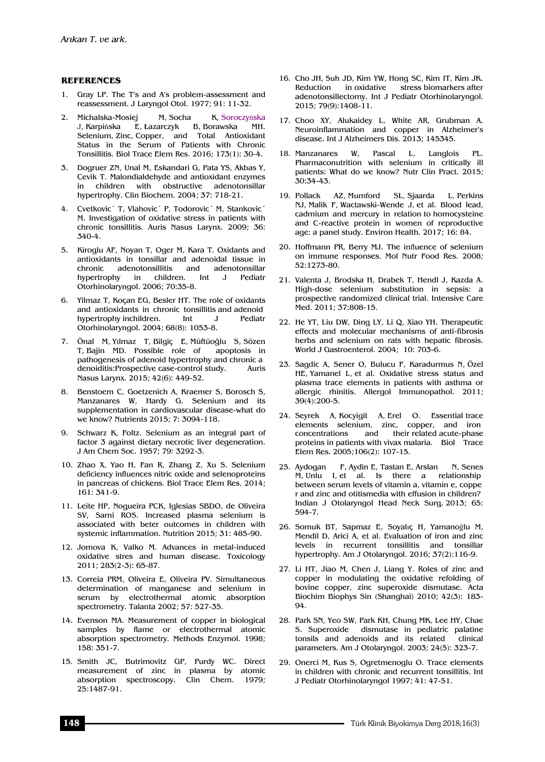#### **REFERENCES**

- 1. Gray LP. The T's and A's problem-assessment and reassessment. J Laryngol Otol. 1977; 91: 11-32.
- 2. Michalska-Mosiej M, Socha K, Soroczyńska J, Karpińska E, Łazarczyk B, Borawska MH. Selenium, Zinc, Copper, and Total Antioxidant Status in the Serum of Patients with Chronic Tonsillitis. Biol Trace Elem Res. 2016; 173(1): 30-4.
- 3. Dogruer ZN, Unal M, Eskandari G, Pata YS, Akbas Y, Cevik T. Malondialdehyde and antioxidant enzymes in children with obstructive adenotonsillar hypertrophy. Clin Biochem. 2004; 37: 718-21.
- 4. Cvetkovic´ T, Vlahovic´ P, Todorovic´ M, Stankovic´ M. Investigation of oxidative stress in patients with chronic tonsillitis. Auris Nasus Larynx. 2009; 36: 340-4.
- 5. Kiroglu AF, Noyan T, Oger M, Kara T. Oxidants and antioxidants in tonsillar and adenoidal tissue in chronic adenotonsillitis and adenotonsillar hypertrophy in children. Int J Pediatr Otorhinolaryngol. 2006; 70:35-8.
- 6. Yilmaz T, Koçan EG, Besler HT. The role of oxidants and antioxidants in chronic tonsillitis and adenoid hypertrophy inchildren. Int J Pediatr Otorhinolaryngol. 2004; 68(8): 1053-8.
- 7. Önal M, Yılmaz T, Bilgiç E, Müftüoğlu S, Sözen T, Bajin MD. Possible role of apoptosis in pathogenesis of adenoid hypertrophy and chronic a denoiditis:Prospective case-control study. Auris Nasus Larynx. 2015; 42(6): 449-52.
- 8. Benstoem C, Goetzenich A, Kraemer S, Borosch S, Manzanares W, Hardy G. Selenium and its supplementation in cardiovascular disease-what do we know? Nutrients 2015; 7: 3094-118.
- 9. Schwarz K, Foltz. Selenium as an integral part of factor 3 against dietary necrotic liver degeneration. J Am Chem Soc. 1957; 79: 3292-3.
- 10. Zhao X, Yao H, Fan R, Zhang Z, Xu S. Selenium deficiency influences nitric oxide and selenoproteins in pancreas of chickens. Biol Trace Elem Res. 2014; 161: 341-9.
- 11. Leite HP, Nogueira PCK, Iglesias SBDO, de Oliveira SV, Sarni ROS. Increased plasma selenium is associated with beter outcomes in children with systemic inflammation. Nutrition 2015; 31: 485-90.
- 12. Jomova K, Valko M. Advances in metal-induced oxidative stres and human disease. Toxicology 2011; 283(2-3): 65-87.
- 13. Correia PRM, Oliveira E, Oliveira PV. Simultaneous determination of manganese and selenium in serum by electrothermal atomic absorption spectrometry. Talanta 2002; 57: 527-35.
- 14. Evenson MA. Measurement of copper in biological samples by flame or electrothermal atomic absorption spectrometry. Methods Enzymol. 1998; 158: 351-7.
- 15. Smith JC, Butrimovitz GP, Purdy WC. Direct measurement of zinc in plasma by atomic absorption spectroscopy. Clin Chem. 1979; 25:1487-91.
- 16. Cho JH, Suh JD, Kim YW, Hong SC, Kim IT, Kim JK. Reduction in oxidative stress biomarkers after adenotonsillectomy. Int J Pediatr Otorhinolaryngol. 2015; 79(9):1408-11.
- 17. Choo XY, Alukaidey L, White AR, Grubman A. Neuroinflammation and copper in Alzheimer's disease. Int J Alzheimers Dis. 2013; 145345.
- 18. Manzanares W, Pascal L, Langlois PL. Pharmaconutrition with selenium in critically ill patients: What do we know? Nutr Clin Pract. 2015; 30:34-43.
- 19. Pollack AZ, Mumford SL, Sjaarda L, Perkins NJ, Malik F, Wactawski-Wende J, et al. Blood lead, cadmium and mercury in relation to homocysteine and C-reactive protein in women of reproductive age: a panel study. Environ Health. 2017; 16: 84.
- 20. Hoffmann PR, Berry MJ. The influence of selenium on immune responses. Mol Nutr Food Res. 2008; 52:1273-80.
- 21. Valenta J, Brodska H, Drabek T, Hendl J, Kazda A. High-dose selenium substitution in sepsis: a prospective randomized clinical trial. Intensive Care Med. 2011; 37:808-15.
- 22. He YT, Liu DW, Ding LY, Li Q, Xiao YH. Therapeutic effects and molecular mechanisms of anti-fibrosis herbs and selenium on rats with hepatic fibrosis. World J Gastroenterol. 2004; 10: 703-6.
- 23. Sagdic A, Sener O, Bulucu F, Karadurmus N, Özel HE, Yamanel L, et al. Oxidative stress status and plasma trace elements in patients with asthma or allergic rhinitis. Allergol Immunopathol. 2011; 39(4):200-5.
- 24. Seyrek A, Kocyigit A, Erel O. Essential trace elements selenium, zinc, copper, and iron concentrations and their related acute-phase proteins in patients with vivax malaria. Biol Trace Elem Res. 2005;106(2): 107-15.
- 25. Aydogan F, Aydin E, Tastan E, Arslan N, Senes  $M$ , Unlu I, et al. Is there a relationship between serum levels of vitamin a, vitamin e, coppe r and zinc and otitismedia with effusion in children? Indian J Otolaryngol Head Neck Surg. 2013; 65: 594-7.
- 26. Somuk BT, Sapmaz E, Soyalıç H, Yamanoğlu M, Mendil D, Arici A, et al. Evaluation of iron and zinc levels in recurrent tonsillitis and tonsillar hypertrophy. Am J Otolaryngol. 2016; 37(2):116-9.
- 27. Li HT, Jiao M, Chen J, Liang Y. Roles of zinc and copper in modulating the oxidative refolding of bovine copper, zinc superoxide dismutase. Acta Biochim Biophys Sin (Shanghai) 2010; 42(3): 183- 94.
- 28. Park SN, Yeo SW, Park KH, Chung MK, Lee HY, Chae S. Superoxide dismutase in pediatric palatine tonsils and adenoids and its related clinical parameters. Am J Otolaryngol. 2003; 24(5): 323-7.
- 29. Onerci M, Kus S, Ogretmenoglu O. Trace elements in children with chronic and recurrent tonsillitis. Int J Pediatr Otorhinolaryngol 1997; 41: 47-51.